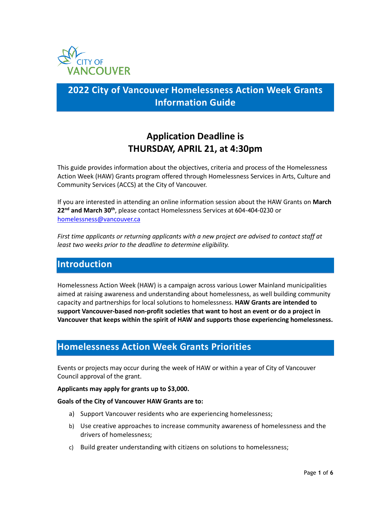

## **2022 City of Vancouver Homelessness Action Week Grants Information Guide**

## **Application Deadline is THURSDAY, APRIL 21, at 4:30pm**

This guide provides information about the objectives, criteria and process of the Homelessness Action Week (HAW) Grants program offered through Homelessness Services in Arts, Culture and Community Services (ACCS) at the City of Vancouver.

If you are interested in attending an online information session about the HAW Grants on **March 22nd and March 30th**, please contact Homelessness Services at 604-404-0230 or [homelessness@vancouver.ca](mailto:homelessness@vancouver.ca) 

*First time applicants or returning applicants with a new project are advised to contact staff at least two weeks prior to the deadline to determine eligibility.* 

### **Introduction**

Homelessness Action Week (HAW) is a campaign across various Lower Mainland municipalities aimed at raising awareness and understanding about homelessness, as well building community capacity and partnerships for local solutions to homelessness. **HAW Grants are intended to support Vancouver-based non-profit societies that want to host an event or do a project in Vancouver that keeps within the spirit of HAW and supports those experiencing homelessness.** 

### **Homelessness Action Week Grants Priorities**

Events or projects may occur during the week of HAW or within a year of City of Vancouver Council approval of the grant.

#### **Applicants may apply for grants up to \$3,000.**

#### **Goals of the City of Vancouver HAW Grants are to:**

- a) Support Vancouver residents who are experiencing homelessness;
- b) Use creative approaches to increase community awareness of homelessness and the drivers of homelessness;
- c) Build greater understanding with citizens on solutions to homelessness;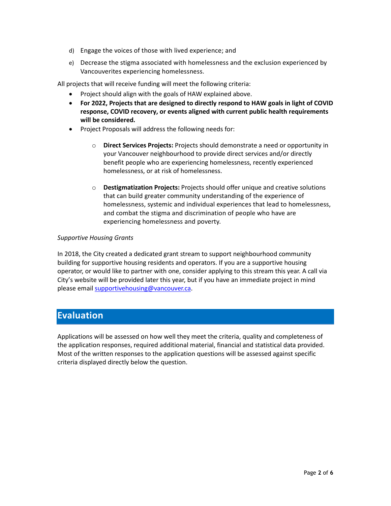- d) Engage the voices of those with lived experience; and
- e) Decrease the stigma associated with homelessness and the exclusion experienced by Vancouverites experiencing homelessness.

All projects that will receive funding will meet the following criteria:

- Project should align with the goals of HAW explained above.
- **For 2022, Projects that are designed to directly respond to HAW goals in light of COVID response, COVID recovery, or events aligned with current public health requirements will be considered.**
- Project Proposals will address the following needs for:
	- o **Direct Services Projects:** Projects should demonstrate a need or opportunity in your Vancouver neighbourhood to provide direct services and/or directly benefit people who are experiencing homelessness, recently experienced homelessness, or at risk of homelessness.
	- o **Destigmatization Projects:** Projects should offer unique and creative solutions that can build greater community understanding of the experience of homelessness, systemic and individual experiences that lead to homelessness, and combat the stigma and discrimination of people who have are experiencing homelessness and poverty.

#### *Supportive Housing Grants*

In 2018, the City created a dedicated grant stream to support neighbourhood community building for supportive housing residents and operators. If you are a supportive housing operator, or would like to partner with one, consider applying to this stream this year. A call via City's website will be provided later this year, but if you have an immediate project in mind please emai[l supportivehousing@vancouver.ca.](mailto:supportivehousing@vancouver.ca)

### **Evaluation**

Applications will be assessed on how well they meet the criteria, quality and completeness of the application responses, required additional material, financial and statistical data provided. Most of the written responses to the application questions will be assessed against specific criteria displayed directly below the question.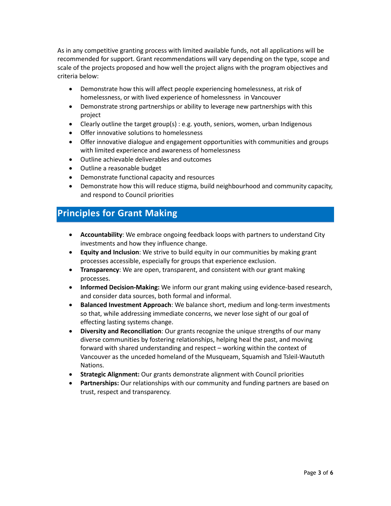As in any competitive granting process with limited available funds, not all applications will be recommended for support. Grant recommendations will vary depending on the type, scope and scale of the projects proposed and how well the project aligns with the program objectives and criteria below:

- Demonstrate how this will affect people experiencing homelessness, at risk of homelessness, or with lived experience of homelessness in Vancouver
- Demonstrate strong partnerships or ability to leverage new partnerships with this project
- Clearly outline the target group(s) : e.g. youth, seniors, women, urban Indigenous
- Offer innovative solutions to homelessness
- Offer innovative dialogue and engagement opportunities with communities and groups with limited experience and awareness of homelessness
- Outline achievable deliverables and outcomes
- Outline a reasonable budget
- Demonstrate functional capacity and resources
- Demonstrate how this will reduce stigma, build neighbourhood and community capacity, and respond to Council priorities

### **Principles for Grant Making**

- **Accountability**: We embrace ongoing feedback loops with partners to understand City investments and how they influence change.
- **Equity and Inclusion**: We strive to build equity in our communities by making grant processes accessible, especially for groups that experience exclusion.
- **Transparency**: We are open, transparent, and consistent with our grant making processes.
- **Informed Decision-Making:** We inform our grant making using evidence-based research, and consider data sources, both formal and informal.
- **Balanced Investment Approach**: We balance short, medium and long-term investments so that, while addressing immediate concerns, we never lose sight of our goal of effecting lasting systems change.
- **Diversity and Reconciliation**: Our grants recognize the unique strengths of our many diverse communities by fostering relationships, helping heal the past, and moving forward with shared understanding and respect – working within the context of Vancouver as the unceded homeland of the Musqueam, Squamish and Tsleil-Waututh Nations.
- **Strategic Alignment:** Our grants demonstrate alignment with Council priorities
- **Partnerships:** Our relationships with our community and funding partners are based on trust, respect and transparency.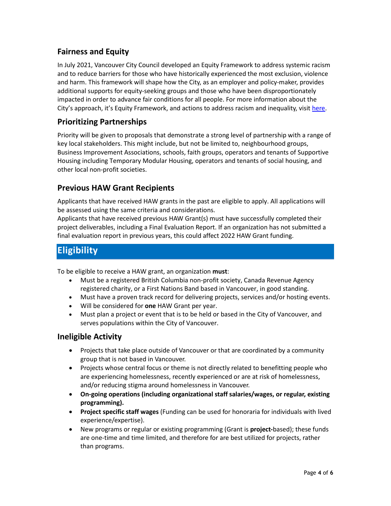### **Fairness and Equity**

In July 2021, Vancouver City Council developed an Equity Framework to address systemic racism and to reduce barriers for those who have historically experienced the most exclusion, violence and harm. This framework will shape how the City, as an employer and policy-maker, provides additional supports for equity-seeking groups and those who have been disproportionately impacted in order to advance fair conditions for all people. For more information about the City's approach, it's Equity Framework, and actions to address racism and inequality, visi[t here.](https://vancouver.ca/news-calendar/city-of-vancouver-responds-to-calls-from-community-with-new-equity-framework.aspx)

### **Prioritizing Partnerships**

Priority will be given to proposals that demonstrate a strong level of partnership with a range of key local stakeholders. This might include, but not be limited to, neighbourhood groups, Business Improvement Associations, schools, faith groups, operators and tenants of Supportive Housing including Temporary Modular Housing, operators and tenants of social housing, and other local non-profit societies.

### **Previous HAW Grant Recipients**

Applicants that have received HAW grants in the past are eligible to apply. All applications will be assessed using the same criteria and considerations.

Applicants that have received previous HAW Grant(s) must have successfully completed their project deliverables, including a Final Evaluation Report. If an organization has not submitted a final evaluation report in previous years, this could affect 2022 HAW Grant funding.

## **Eligibility**

To be eligible to receive a HAW grant, an organization **must**:

- Must be a registered British Columbia non-profit society, Canada Revenue Agency registered charity, or a First Nations Band based in Vancouver, in good standing.
- Must have a proven track record for delivering projects, services and/or hosting events.
- Will be considered for **one** HAW Grant per year.
- Must plan a project or event that is to be held or based in the City of Vancouver, and serves populations within the City of Vancouver.

### **Ineligible Activity**

- Projects that take place outside of Vancouver or that are coordinated by a community group that is not based in Vancouver.
- Projects whose central focus or theme is not directly related to benefitting people who are experiencing homelessness, recently experienced or are at risk of homelessness, and/or reducing stigma around homelessness in Vancouver.
- **On-going operations (including organizational staff salaries/wages, or regular, existing programming).**
- **Project specific staff wages** (Funding can be used for honoraria for individuals with lived experience/expertise).
- New programs or regular or existing programming (Grant is **project-**based); these funds are one-time and time limited, and therefore for are best utilized for projects, rather than programs.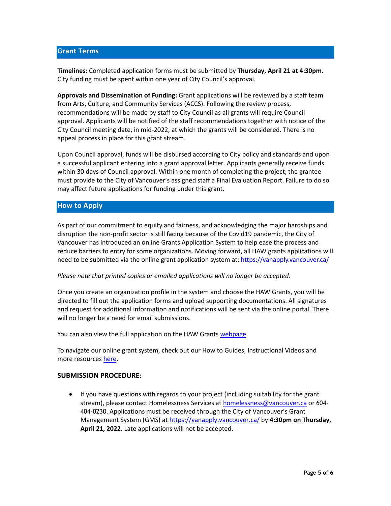#### **Grant Terms**

**Timelines:** Completed application forms must be submitted by **Thursday, April 21 at 4:30pm**. City funding must be spent within one year of City Council's approval.

**Approvals and Dissemination of Funding:** Grant applications will be reviewed by a staff team from Arts, Culture, and Community Services (ACCS). Following the review process, recommendations will be made by staff to City Council as all grants will require Council approval. Applicants will be notified of the staff recommendations together with notice of the City Council meeting date, in mid-2022, at which the grants will be considered. There is no appeal process in place for this grant stream.

Upon Council approval, funds will be disbursed according to City policy and standards and upon a successful applicant entering into a grant approval letter. Applicants generally receive funds within 30 days of Council approval. Within one month of completing the project, the grantee must provide to the City of Vancouver's assigned staff a Final Evaluation Report. Failure to do so may affect future applications for funding under this grant.

#### **How to Apply**

As part of our commitment to equity and fairness, and acknowledging the major hardships and disruption the non-profit sector is still facing because of the Covid19 pandemic, the City of Vancouver has introduced an online Grants Application System to help ease the process and reduce barriers to entry for some organizations. Moving forward, all HAW grants applications will need to be submitted via the online grant application system at:<https://vanapply.vancouver.ca/>

#### *Please note that printed copies or emailed applications will no longer be accepted.*

Once you create an organization profile in the system and choose the HAW Grants, you will be directed to fill out the application forms and upload supporting documentations. All signatures and request for additional information and notifications will be sent via the online portal. There will no longer be a need for email submissions.

You can also view the full application on the HAW Grants [webpage.](https://vancouver.ca/people-programs/homelessness-action-week-grants.aspx)

To navigate our online grant system, check out our How to Guides, Instructional Videos and more resources [here.](https://vancouver.ca/people-programs/vanapply-online-grant-application-system.aspx)

#### **SUBMISSION PROCEDURE:**

• If you have questions with regards to your project (including suitability for the grant stream), please contact Homelessness Services at **homelessness@vancouver.ca** or 604-404-0230. Applications must be received through the City of Vancouver's Grant Management System (GMS) at<https://vanapply.vancouver.ca/> by **4:30pm on Thursday, April 21, 2022**. Late applications will not be accepted.